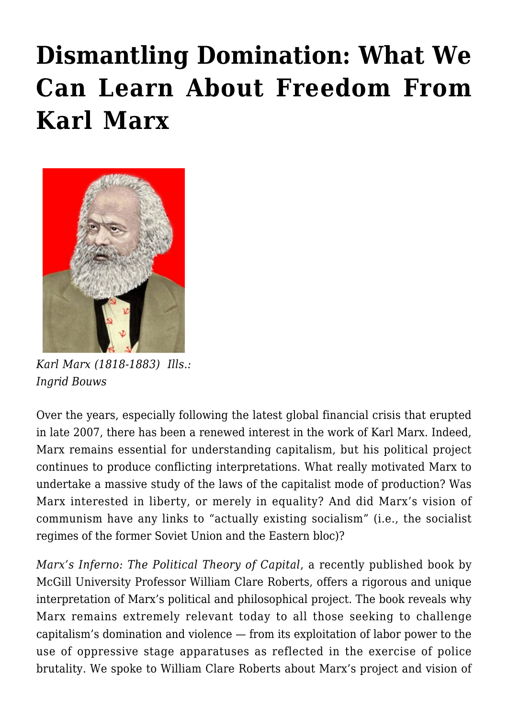## **[Dismantling Domination: What We](https://rozenbergquarterly.com/dismantling-domination-what-we-can-learn-about-freedom-from-karl-marx/) [Can Learn About Freedom From](https://rozenbergquarterly.com/dismantling-domination-what-we-can-learn-about-freedom-from-karl-marx/) [Karl Marx](https://rozenbergquarterly.com/dismantling-domination-what-we-can-learn-about-freedom-from-karl-marx/)**



*Karl Marx (1818-1883) Ills.: Ingrid Bouws*

Over the years, especially following the latest global financial crisis that erupted in late 2007, there has been a renewed interest in the work of Karl Marx. Indeed, Marx remains essential for understanding capitalism, but his political project continues to produce conflicting interpretations. What really motivated Marx to undertake a massive study of the laws of the capitalist mode of production? Was Marx interested in liberty, or merely in equality? And did Marx's vision of communism have any links to "actually existing socialism" (i.e., the socialist regimes of the former Soviet Union and the Eastern bloc)?

*Marx's Inferno: The Political Theory of Capital*, a recently published book by McGill University Professor William Clare Roberts, offers a rigorous and unique interpretation of Marx's political and philosophical project. The book reveals why Marx remains extremely relevant today to all those seeking to challenge capitalism's domination and violence — from its exploitation of labor power to the use of oppressive stage apparatuses as reflected in the exercise of police brutality. We spoke to William Clare Roberts about Marx's project and vision of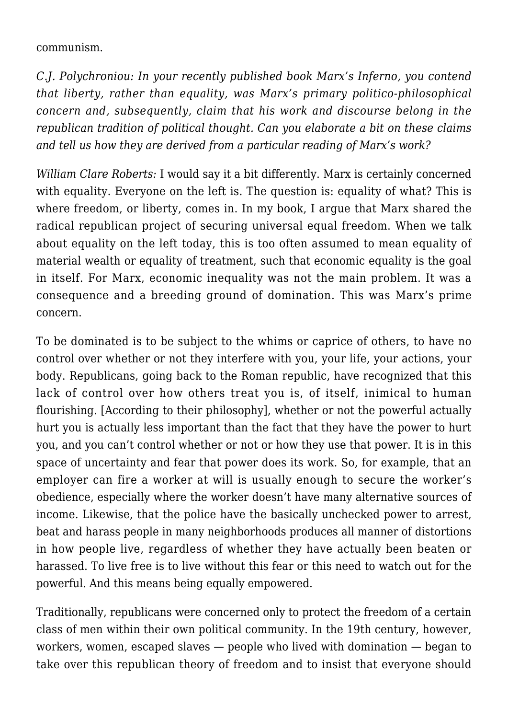communism.

*C.J. Polychroniou: In your recently published book Marx's Inferno, you contend that liberty, rather than equality, was Marx's primary politico-philosophical concern and, subsequently, claim that his work and discourse belong in the republican tradition of political thought. Can you elaborate a bit on these claims and tell us how they are derived from a particular reading of Marx's work?*

*William Clare Roberts:* I would say it a bit differently. Marx is certainly concerned with equality. Everyone on the left is. The question is: equality of what? This is where freedom, or liberty, comes in. In my book, I argue that Marx shared the radical republican project of securing universal equal freedom. When we talk about equality on the left today, this is too often assumed to mean equality of material wealth or equality of treatment, such that economic equality is the goal in itself. For Marx, economic inequality was not the main problem. It was a consequence and a breeding ground of domination. This was Marx's prime concern.

To be dominated is to be subject to the whims or caprice of others, to have no control over whether or not they interfere with you, your life, your actions, your body. Republicans, going back to the Roman republic, have recognized that this lack of control over how others treat you is, of itself, inimical to human flourishing. [According to their philosophy], whether or not the powerful actually hurt you is actually less important than the fact that they have the power to hurt you, and you can't control whether or not or how they use that power. It is in this space of uncertainty and fear that power does its work. So, for example, that an employer can fire a worker at will is usually enough to secure the worker's obedience, especially where the worker doesn't have many alternative sources of income. Likewise, that the police have the basically unchecked power to arrest, beat and harass people in many neighborhoods produces all manner of distortions in how people live, regardless of whether they have actually been beaten or harassed. To live free is to live without this fear or this need to watch out for the powerful. And this means being equally empowered.

Traditionally, republicans were concerned only to protect the freedom of a certain class of men within their own political community. In the 19th century, however, workers, women, escaped slaves — people who lived with domination — began to take over this republican theory of freedom and to insist that everyone should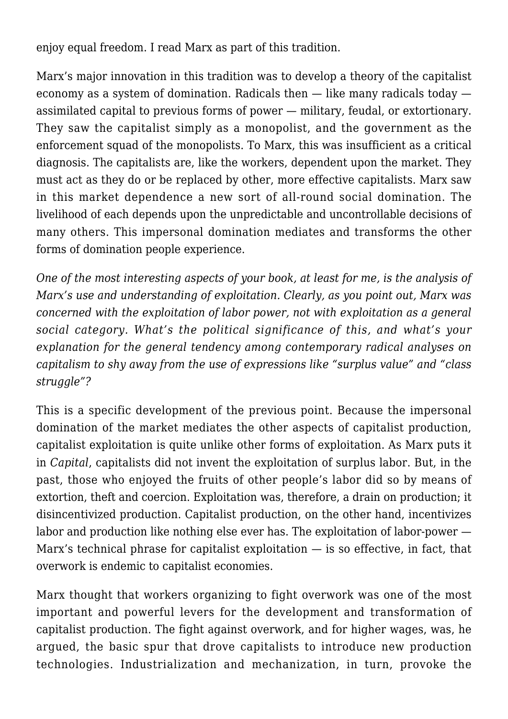enjoy equal freedom. I read Marx as part of this tradition.

Marx's major innovation in this tradition was to develop a theory of the capitalist economy as a system of domination. Radicals then — like many radicals today assimilated capital to previous forms of power — military, feudal, or extortionary. They saw the capitalist simply as a monopolist, and the government as the enforcement squad of the monopolists. To Marx, this was insufficient as a critical diagnosis. The capitalists are, like the workers, dependent upon the market. They must act as they do or be replaced by other, more effective capitalists. Marx saw in this market dependence a new sort of all-round social domination. The livelihood of each depends upon the unpredictable and uncontrollable decisions of many others. This impersonal domination mediates and transforms the other forms of domination people experience.

*One of the most interesting aspects of your book, at least for me, is the analysis of Marx's use and understanding of exploitation. Clearly, as you point out, Marx was concerned with the exploitation of labor power, not with exploitation as a general social category. What's the political significance of this, and what's your explanation for the general tendency among contemporary radical analyses on capitalism to shy away from the use of expressions like "surplus value" and "class struggle"?*

This is a specific development of the previous point. Because the impersonal domination of the market mediates the other aspects of capitalist production, capitalist exploitation is quite unlike other forms of exploitation. As Marx puts it in *Capital*, capitalists did not invent the exploitation of surplus labor. But, in the past, those who enjoyed the fruits of other people's labor did so by means of extortion, theft and coercion. Exploitation was, therefore, a drain on production; it disincentivized production. Capitalist production, on the other hand, incentivizes labor and production like nothing else ever has. The exploitation of labor-power — Marx's technical phrase for capitalist exploitation  $-$  is so effective, in fact, that overwork is endemic to capitalist economies.

Marx thought that workers organizing to fight overwork was one of the most important and powerful levers for the development and transformation of capitalist production. The fight against overwork, and for higher wages, was, he argued, the basic spur that drove capitalists to introduce new production technologies. Industrialization and mechanization, in turn, provoke the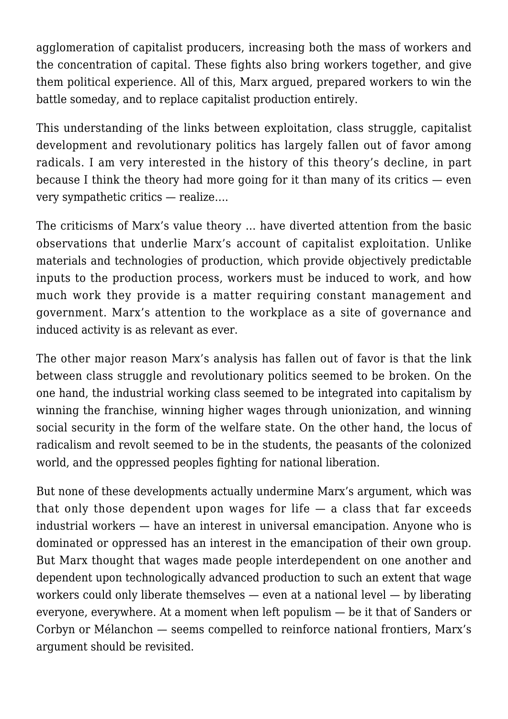agglomeration of capitalist producers, increasing both the mass of workers and the concentration of capital. These fights also bring workers together, and give them political experience. All of this, Marx argued, prepared workers to win the battle someday, and to replace capitalist production entirely.

This understanding of the links between exploitation, class struggle, capitalist development and revolutionary politics has largely fallen out of favor among radicals. I am very interested in the history of this theory's decline, in part because I think the theory had more going for it than many of its critics  $-$  even very sympathetic critics — realize….

The criticisms of Marx's value theory … have diverted attention from the basic observations that underlie Marx's account of capitalist exploitation. Unlike materials and technologies of production, which provide objectively predictable inputs to the production process, workers must be induced to work, and how much work they provide is a matter requiring constant management and government. Marx's attention to the workplace as a site of governance and induced activity is as relevant as ever.

The other major reason Marx's analysis has fallen out of favor is that the link between class struggle and revolutionary politics seemed to be broken. On the one hand, the industrial working class seemed to be integrated into capitalism by winning the franchise, winning higher wages through unionization, and winning social security in the form of the welfare state. On the other hand, the locus of radicalism and revolt seemed to be in the students, the peasants of the colonized world, and the oppressed peoples fighting for national liberation.

But none of these developments actually undermine Marx's argument, which was that only those dependent upon wages for life  $-$  a class that far exceeds industrial workers — have an interest in universal emancipation. Anyone who is dominated or oppressed has an interest in the emancipation of their own group. But Marx thought that wages made people interdependent on one another and dependent upon technologically advanced production to such an extent that wage workers could only liberate themselves — even at a national level — by liberating everyone, everywhere. At a moment when left populism — be it that of Sanders or Corbyn or Mélanchon — seems compelled to reinforce national frontiers, Marx's argument should be revisited.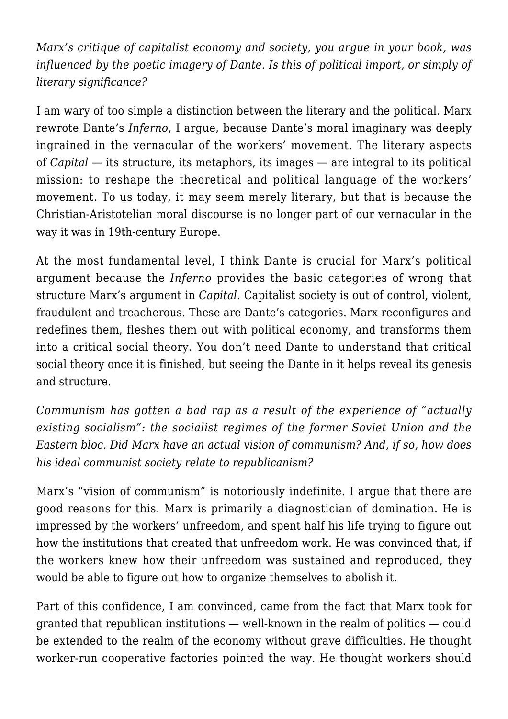*Marx's critique of capitalist economy and society, you argue in your book, was influenced by the poetic imagery of Dante. Is this of political import, or simply of literary significance?*

I am wary of too simple a distinction between the literary and the political. Marx rewrote Dante's *Inferno*, I argue, because Dante's moral imaginary was deeply ingrained in the vernacular of the workers' movement. The literary aspects of *Capital* — its structure, its metaphors, its images — are integral to its political mission: to reshape the theoretical and political language of the workers' movement. To us today, it may seem merely literary, but that is because the Christian-Aristotelian moral discourse is no longer part of our vernacular in the way it was in 19th-century Europe.

At the most fundamental level, I think Dante is crucial for Marx's political argument because the *Inferno* provides the basic categories of wrong that structure Marx's argument in *Capital*. Capitalist society is out of control, violent, fraudulent and treacherous. These are Dante's categories. Marx reconfigures and redefines them, fleshes them out with political economy, and transforms them into a critical social theory. You don't need Dante to understand that critical social theory once it is finished, but seeing the Dante in it helps reveal its genesis and structure.

*Communism has gotten a bad rap as a result of the experience of "actually existing socialism": the socialist regimes of the former Soviet Union and the Eastern bloc. Did Marx have an actual vision of communism? And, if so, how does his ideal communist society relate to republicanism?*

Marx's "vision of communism" is notoriously indefinite. I argue that there are good reasons for this. Marx is primarily a diagnostician of domination. He is impressed by the workers' unfreedom, and spent half his life trying to figure out how the institutions that created that unfreedom work. He was convinced that, if the workers knew how their unfreedom was sustained and reproduced, they would be able to figure out how to organize themselves to abolish it.

Part of this confidence, I am convinced, came from the fact that Marx took for granted that republican institutions — well-known in the realm of politics — could be extended to the realm of the economy without grave difficulties. He thought worker-run cooperative factories pointed the way. He thought workers should